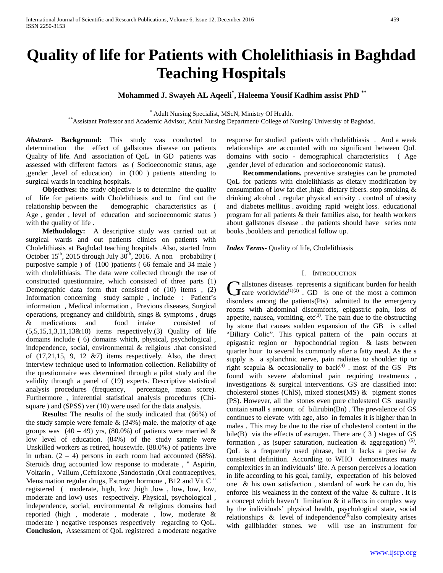# **Quality of life for Patients with Cholelithiasis in Baghdad Teaching Hospitals**

## **Mohammed J. Swayeh AL Aqeeli\* , Haleema Yousif Kadhim assist PhD \*\***

\* Adult Nursing Specialist, MScN, Ministry Of Health.<br>\*Assistant Professor and Academic Advisor, Adult Nursing Department/ College of Nursing/ University of Baghdad.

*Abstract***- Background:** This study was conducted to determination the effect of gallstones disease on patients Quality of life. And association of QoL in GD patients was assessed with different factors as ( Socioeconomic status, age ,gender ,level of education) in (100 ) patients attending to surgical wards in teaching hospitals.

**Objectives:** the study objective is to determine the quality of life for patients with Cholelithiasis and to find out the relationship between the demographic characteristics as ( Age , gender , level of education and socioeconomic status ) with the quality of life .

 **Methodology:** A descriptive study was carried out at surgical wards and out patients clinics on patients with Cholelithiasis at Baghdad teaching hospitals .Also, started from October 15<sup>th</sup>, 2015 through July 30<sup>th</sup>, 2016. A non – probability ( purposive sample ) of (100 )patients ( 66 female and 34 male ) with cholelithiasis. The data were collected through the use of constructed questionnaire, which consisted of three parts (1) Demographic data form that consisted of (10) items , (2) Information concerning study sample , include : Patient's information , Medical information , Previous diseases, Surgical operations, pregnancy and childbirth, sings & symptoms , drugs & medications and food intake consisted of  $(5,5,15,1,3,11,13&10)$  items respectively. (3) Quality of life domains include ( 6) domains which, physical, psychological , independence, social, environmental & religious .that consisted of (17,21,15, 9, 12 &7) items respectively. Also, the direct interview technique used to information collection. Reliability of the questionnaire was determined through a pilot study and the validity through a panel of (19) experts. Descriptive statistical analysis procedures (frequency, percentage, mean score). Furthermore , inferential statistical analysis procedures (Chisquare ) and (SPSS) ver (10) were used for the data analysis.

 **Results:** The results of the study indicated that (66%) of the study sample were female  $& (34\%)$  male. the majority of age groups was  $(40 - 49)$  yrs,  $(80.0\%)$  of patients were married & low level of education. (84%) of the study sample were Unskilled workers as retired, housewife. (88.0%) of patients live in urban.  $(2 - 4)$  persons in each room had accounted (68%). Steroids drug accounted low response to moderate , " Aspirin, Voltarin , Valium ,Ceftriaxone ,Sandostatin ,Oral contraceptives, Menstruation regular drugs, Estrogen hormone , B12 and Vit C " registered (moderate, high, low , high , low, low, low, low, moderate and low) uses respectively. Physical, psychological , independence, social, environmental & religious domains had reported (high , moderate , moderate , low, moderate & moderate ) negative responses respectively regarding to QoL. **Conclusion,** Assessment of QoL registered a moderate negative

response for studied patients with cholelithiasis . And a weak relationships are accounted with no significant between QoL domains with socio - demographical characteristics ( Age ,gender ,level of education and socioeconomic status).

 **Recommendations.** preventive strategies can be promoted QoL for patients with cholelithiasis as dietary modification by consumption of low fat diet ,high dietary fibers. stop smoking & drinking alcohol . regular physical activity . control of obesity and diabetes mellitus . avoiding rapid weight loss. educational program for all patients & their families also, for health workers about gallstones disease . the patients should have series note books ,booklets and periodical follow up.

*Index Terms*- Quality of life, Cholelithiasis

## I. INTRODUCTION

I allstones diseases represents a significant burden for health **C** allstones diseases represents a significant burden for health care worldwide<sup>(1)(2)</sup>. GD is one of the most a common disorders among the patients(Pts) admitted to the emergency rooms with abdominal discomforts, epigastric pain, loss of appetite, nausea, vomiting, etc<sup>(3)</sup>. The pain due to the obstructing by stone that causes sudden expansion of the GB is called "Biliary Colic". This typical pattern of the pain occurs at epigastric region or hypochondrial region & lasts between quarter hour to several hs commonly after a fatty meal. As the s supply is a splanchnic nerve, pain radiates to shoulder tip or right scapula & occasionally to back<sup>(4)</sup> . most of the GS Pts found with severe abdominal pain requiring treatments , investigations & surgical interventions. GS are classified into: cholesterol stones (ChlS), mixed stones(MS) & pigment stones (PS). However, all the stones even pure cholesterol GS usually contain small s amount of bilirubin(Bn) . The prevalence of GS continues to elevate with age, also in females it is higher than in males . This may be due to the rise of cholesterol content in the bile(B) via the effects of estrogen. There are ( 3 ) stages of GS formation, as (super saturation, nucleation & aggregation)<sup>(5)</sup>. *<sup>P</sup>*QoL is a frequently used phrase, but it lacks a precise & consistent definition. According to WHO demonstrates many complexities in an individuals' life. A person perceives a location in life according to his goal, family, expectation of his beloved one & his own satisfaction , standard of work he can do, his enforce his weakness in the context of the value & culture . It is a concept which haven't limitation  $\&$  it affects in complex way by the individuals' physical health, psychological state, social relationships & level of independence<sup>(6)</sup>also complexity arises with gallbladder stones. we will use an instrument for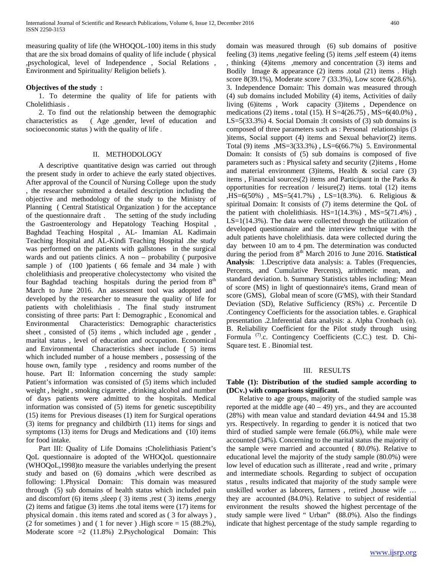measuring quality of life (the WHOQOL-100) items in this study that are the six broad domains of quality of life include ( physical ,psychological, level of Independence , Social Relations , Environment and Spirituality/ Religion beliefs ).

## **Objectives of the study :**

 1. To determine the quality of life for patients with Cholelithiasis .

 2. To find out the relationship between the demographic characteristics as ( Age ,gender, level of education and socioeconomic status ) with the quality of life .

## II. METHODOLOGY

 A descriptive quantitative design was carried out through the present study in order to achieve the early stated objectives. After approval of the Council of Nursing College upon the study , the researcher submitted a detailed description including the objective and methodology of the study to the Ministry of Planning ( Central Statistical Organization ) for the acceptance of the questionnaire draft . The setting of the study including the Gastroenterology and Hepatology Teaching Hospital , Baghdad Teaching Hospital , AL- Imamian AL Kadimain Teaching Hospital and AL-Kindi Teaching Hospital .the study was performed on the patients with gallstones in the surgical wards and out patients clinics. A non – probability ( purposive sample ) of (100 )patients ( 66 female and 34 male ) with cholelithiasis and preoperative cholecystectomy who visited the four Baghdad teaching hospitals during the period from 8<sup>th</sup> March to June 2016. An assessment tool was adopted and developed by the researcher to measure the quality of life for patients with cholelithiasis . The final study instrument consisting of three parts: Part I: Demographic , Economical and Environmental Characteristics: Demographic characteristics sheet , consisted of (5) items , which included age , gender , marital status , level of education and occupation. Economical and Environmental Characteristics sheet include ( 5) items which included number of a house members , possessing of the house own, family type , residency and rooms number of the house. Part II: Information concerning the study sample: Patient's information was consisted of (5) items which included weight , height , smoking cigarette , drinking alcohol and number of days patients were admitted to the hospitals. Medical information was consisted of (5) items for genetic susceptibility (15) items for Previous diseases (1) item for Surgical operations (3) items for pregnancy and childbirth (11) items for sings and symptoms (13) items for Drugs and Medications and (10) items for food intake.

 Part III: Quality of Life Domains **:**Cholelithiasis Patient's QoL questionnaire is adopted of the WHOQoL questionnaire (WHOQoL,1998)to measure the variables underlying the present study and based on (6) domains ,which were described as following: 1.Physical Domain: This domain was measured through (5) sub domains of health status which included pain and discomfort  $(6)$  items , sleep  $(3)$  items , rest  $(3)$  items , energy (2) items and fatigue (3) items .the total items were (17) items for physical domain . this items rated and scored as ( 3 for always ) , (2 for sometimes) and (1 for never). High score  $= 15$  (88.2%), Moderate score =2 (11.8%) 2.Psychological Domain: This

domain was measured through (6) sub domains of positive feeling (3) items ,negative feeling (5) items ,self esteem (4) items , thinking (4)items ,memory and concentration (3) items and Bodily Image  $\&$  appearance (2) items .total (21) items . High score 8(39.1%), Moderate score 7 (33.3%), Low score 6(28.6%). 3. Independence Domain: This domain was measured through (4) sub domains included Mobility (4) items, Activities of daily living (6)items , Work capacity (3)items , Dependence on medications (2) items **.** total (15). H S=4(26.75) , MS=6(40.0%) , LS=5(33.3%) 4. Social Domain :It consists of (3) sub domains is composed of three parameters such as : Personal relationships (3 )items, Social support (4) items and Sexual behavior(2) items. Total (9) items ,MS=3(33.3%) , LS=6(66.7%)5. Environmental Domain: It consists of (5) sub domains is composed of five parameters such as : Physical safety and security (2)items , Home and material environment (3)items, Health & social care (3) items , Financial sources(2) items and Participant in the Parks & opportunities for recreation / leisure(2) items. total (12) items ,HS=6(50%) , MS=5(41.7%) , LS=1(8.3%). 6. Religious & spiritual Domain: It consists of (7) items determine the QoL of the patient with cholelithiasis.  $HS=1(14.3\%)$ ,  $MS=5(71.4\%)$ , LS=1(14.3%). The data were collected through the utilization of developed questionnaire and the interview technique with the adult patients have cholelithiasis. data were collected during the day between 10 am to 4 pm. The determination was conducted during the period from 8<sup>th</sup> March 2016 to June 2016. **Statistical Analysis**: 1.Descriptive data analysis: a. Tables (Frequencies, Percents, and Cumulative Percents), arithmetic mean, and standard deviation. b. Summary Statistics tables including: Mean of score (MS) in light of questionnaire's items, Grand mean of score (GMS), Global mean of score (G'MS), with their Standard Deviation (SD), Relative Sufficiency (RS%) .c. Percentile D .Contingency Coefficients for the association tables. e. Graphical presentation .2.Inferential data analysis: a. Alpha Cronbach (α). B. Reliability Coefficient for the Pilot study through using Formula <sup>(7)</sup>.c. Contingency Coefficients (C.C.) test. D. Chi-Square test. E . Binomial test.

## III. RESULTS

## **Table (1): Distribution of the studied sample according to (DCv.) with comparisons significant.**

 Relative to age groups, majority of the studied sample was reported at the middle age  $(40 - 49)$  yrs., and they are accounted (28%) with mean value and standard deviation 44.94 and 15.38 yrs. Respectively. In regarding to gender it is noticed that two third of studied sample were female (66.0%), while male were accounted (34%). Concerning to the marital status the majority of the sample were married and accounted ( 80.0%). Relative to educational level the majority of the study sample (80.0%) were low level of education such as illiterate , read and write , primary and intermediate schools. Regarding to subject of occupation status , results indicated that majority of the study sample were unskilled worker as laborers, farmers , retired ,house wife … they are accounted (84.0%). Relative to subject of residential environment the results showed the highest percentage of the study sample were lived " Urban" (88.0%). Also the findings indicate that highest percentage of the study sample regarding to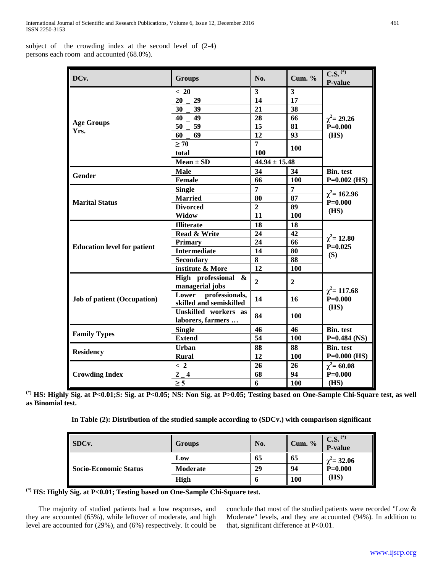subject of the crowding index at the second level of (2-4) persons each room and accounted (68.0%).

| DCv.                               | <b>Groups</b>                                      | No.                     | Cum. $%$                | $\overline{\text{C.S.}}^{(*)}$<br>P-value |  |
|------------------------------------|----------------------------------------------------|-------------------------|-------------------------|-------------------------------------------|--|
|                                    | < 20                                               | $\overline{\mathbf{3}}$ | $\overline{\mathbf{3}}$ |                                           |  |
|                                    | 20<br>29                                           | $\overline{14}$         | $\overline{17}$         |                                           |  |
|                                    | 39<br>30                                           | 21                      | 38                      |                                           |  |
|                                    | 49<br>40                                           | 28                      | 66                      | $\chi^2$ = 29.26                          |  |
| <b>Age Groups</b>                  | 59<br>50                                           | 15                      | 81                      | $P=0.000$                                 |  |
| Yrs.                               | 69<br>60                                           | 12                      | 93                      | (HS)                                      |  |
|                                    | $\geq 70$                                          | $\overline{7}$          |                         |                                           |  |
|                                    | total                                              | 100                     | <b>100</b>              |                                           |  |
|                                    | $Mean \pm SD$                                      | $44.94 \pm 15.48$       |                         |                                           |  |
|                                    | <b>Male</b>                                        | 34                      | 34                      | <b>Bin.</b> test                          |  |
| Gender                             | <b>Female</b>                                      | 66                      | 100                     | $P=0.002$ (HS)                            |  |
|                                    | <b>Single</b>                                      | $\overline{7}$          | $\overline{7}$          |                                           |  |
|                                    | <b>Married</b>                                     | 80                      | 87                      | $\chi^2$ = 162.96                         |  |
| <b>Marital Status</b>              | <b>Divorced</b>                                    | $\overline{2}$          | 89                      | $P = 0.000$                               |  |
|                                    | <b>Widow</b>                                       | 11                      | 100                     | (HS)                                      |  |
|                                    | <b>Illiterate</b>                                  | 18                      | 18                      |                                           |  |
|                                    | Read & Write                                       | 24                      | 42                      |                                           |  |
|                                    | Primary                                            | 24                      | 66                      | $\chi^2$ = 12.80                          |  |
| <b>Education level for patient</b> | <b>Intermediate</b>                                | 14                      | 80                      | $P=0.025$                                 |  |
|                                    | <b>Secondary</b>                                   | 8                       | 88                      | (S)                                       |  |
|                                    | institute & More                                   | 12                      | 100                     |                                           |  |
|                                    | High professional &<br>managerial jobs             | $\overline{2}$          | $\mathbf{2}$            |                                           |  |
| <b>Job of patient (Occupation)</b> | professionals,<br>Lower<br>skilled and semiskilled | 14                      | 16                      | $\chi^2$ = 117.68<br>$P = 0.000$          |  |
|                                    | Unskilled workers as<br>laborers, farmers          | 84                      | 100                     | (HS)                                      |  |
|                                    | <b>Single</b>                                      | 46                      | 46                      | <b>Bin.</b> test                          |  |
| <b>Family Types</b>                | <b>Extend</b>                                      | 54                      | 100                     | $P=0.484$ (NS)                            |  |
|                                    | Urban                                              | 88                      | 88                      | <b>Bin.</b> test                          |  |
| <b>Residency</b>                   | <b>Rural</b>                                       | 12                      | <b>100</b>              | $P=0.000$ (HS)                            |  |
|                                    | < 2                                                | 26                      | 26                      | $\chi^2$ = 60.08                          |  |
| <b>Crowding Index</b>              | $\overline{\mathbf{4}}$<br>$\overline{2}$          | 68                      | 94                      | $P = 0.000$                               |  |
|                                    | $\overline{\geq}$ 5                                | 6                       | 100                     | (HS)                                      |  |

**(\*) HS: Highly Sig. at P<0.01;S: Sig. at P<0.05; NS: Non Sig. at P>0.05; Testing based on One-Sample Chi-Square test, as well as Binomial test.**

**In Table (2): Distribution of the studied sample according to (SDCv.) with comparison significant**

| SDC <sub>v</sub> .           | <b>Groups</b>   | No. | Cum. $%$ | $C.S.$ <sup>(*)</sup><br>P-value |
|------------------------------|-----------------|-----|----------|----------------------------------|
| <b>Socio-Economic Status</b> | Low             | 65  | 65       | $\chi^2$ = 32.06                 |
|                              | <b>Moderate</b> | 29  | 94       | $\bar{P} = 0.000$                |
|                              | High            | n   | 100      | (HS)                             |

**(\*) HS: Highly Sig. at P<0.01; Testing based on One-Sample Chi-Square test.**

 The majority of studied patients had a low responses, and they are accounted (65%), while leftover of moderate, and high level are accounted for (29%), and (6%) respectively. It could be conclude that most of the studied patients were recorded "Low & Moderate" levels, and they are accounted (94%). In addition to that, significant difference at P<0.01.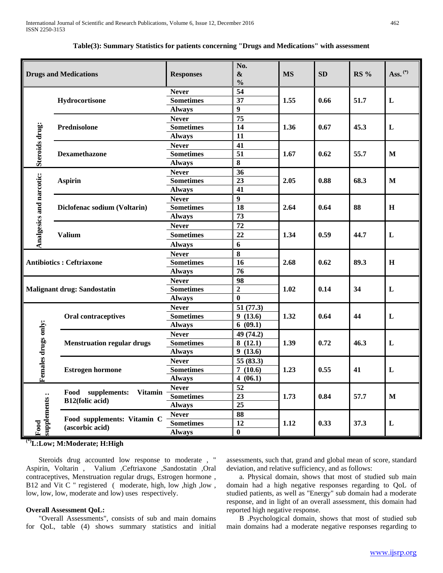| <b>Drugs and Medications</b>                                                                                                     |                                    | <b>Responses</b>                                  | No.<br>$\boldsymbol{\&}$<br>$\frac{0}{0}$ | <b>MS</b> | <b>SD</b> | <b>RS %</b> | Ass. $(*)$   |
|----------------------------------------------------------------------------------------------------------------------------------|------------------------------------|---------------------------------------------------|-------------------------------------------|-----------|-----------|-------------|--------------|
| Hydrocortisone                                                                                                                   |                                    | <b>Never</b><br><b>Sometimes</b>                  | 54<br>37                                  | 1.55      | 0.66      | 51.7        | L            |
|                                                                                                                                  |                                    | <b>Always</b><br><b>Never</b>                     | $\boldsymbol{9}$<br>$\overline{75}$       |           |           |             |              |
|                                                                                                                                  | Prednisolone                       | <b>Sometimes</b><br><b>Always</b>                 | $\overline{14}$<br>$\overline{11}$        | 1.36      | 0.67      | 45.3        | L            |
| Steroids drug:                                                                                                                   | Dexamethazone                      | <b>Never</b><br><b>Sometimes</b>                  | 41<br>$\overline{51}$                     | 1.67      | 0.62      | 55.7        | M            |
|                                                                                                                                  |                                    | <b>Always</b><br><b>Never</b>                     | $\bf{8}$<br>36                            |           |           |             |              |
|                                                                                                                                  | <b>Aspirin</b>                     | <b>Sometimes</b><br><b>Always</b>                 | 23<br>41                                  | 2.05      | 0.88      | 68.3        | $\mathbf{M}$ |
|                                                                                                                                  | Diclofenac sodium (Voltarin)       | <b>Never</b><br><b>Sometimes</b>                  | 9<br>18                                   | 2.64      | 0.64      | 88          | H            |
| Analgesics and narcotic:                                                                                                         | Valium                             | <b>Always</b><br><b>Never</b><br><b>Sometimes</b> | 73<br>72<br>22                            | 1.34      | 0.59      | 44.7        | L            |
|                                                                                                                                  |                                    | <b>Always</b><br><b>Never</b>                     | $\boldsymbol{6}$<br>$\bf{8}$              |           |           |             |              |
|                                                                                                                                  | <b>Antibiotics: Ceftriaxone</b>    | <b>Sometimes</b><br><b>Always</b>                 | 16<br>76                                  | 2.68      | 0.62      | 89.3        | $\mathbf H$  |
|                                                                                                                                  | <b>Malignant drug: Sandostatin</b> | <b>Never</b><br><b>Sometimes</b><br><b>Always</b> | 98<br>$\mathbf 2$<br>$\bf{0}$             | 1.02      | 0.14      | 34          | L            |
|                                                                                                                                  | Oral contraceptives                | <b>Never</b><br><b>Sometimes</b><br><b>Always</b> | 51 (77.3)<br>9(13.6)<br>6(09.1)           | 1.32      | 0.64      | 44          | L            |
|                                                                                                                                  | <b>Menstruation regular drugs</b>  | <b>Never</b><br><b>Sometimes</b><br><b>Always</b> | 49 (74.2)<br>8(12.1)<br>9(13.6)           | 1.39      | 0.72      | 46.3        | L            |
| Females drugs only:<br><b>Estrogen hormone</b>                                                                                   |                                    | <b>Never</b><br><b>Sometimes</b><br><b>Always</b> | 55 (83.3)<br>7(10.6)<br>4(06.1)           | 1.23      | 0.55      | 41          | L            |
| Food supplements:<br><b>Vitamin</b><br>supplements:<br>B12(folic acid)<br>Food supplements: Vitamin C<br>Food<br>(ascorbic acid) |                                    | <b>Never</b><br><b>Sometimes</b><br><b>Always</b> | 52<br>$\overline{23}$<br>$\overline{25}$  | 1.73      | 0.84      | 57.7        | $\mathbf M$  |
|                                                                                                                                  |                                    | <b>Never</b><br><b>Sometimes</b><br><b>Always</b> | 88<br>12<br>$\bf{0}$                      | 1.12      | 0.33      | 37.3        | L            |

**Table(3): Summary Statistics for patients concerning "Drugs and Medications" with assessment**

**(\*)L:Low; M:Moderate; H:High**

 Steroids drug accounted low response to moderate , " Aspirin, Voltarin , Valium ,Ceftriaxone ,Sandostatin ,Oral contraceptives, Menstruation regular drugs, Estrogen hormone , B12 and Vit C " registered ( moderate, high, low , high , low , low, low, low, moderate and low) uses respectively.

#### **Overall Assessment QoL:**

 "Overall Assessments", consists of sub and main domains for QoL, table (4) shows summary statistics and initial

assessments, such that, grand and global mean of score, standard deviation, and relative sufficiency, and as follows:

 a. Physical domain, shows that most of studied sub main domain had a high negative responses regarding to QoL of studied patients, as well as "Energy" sub domain had a moderate response, and in light of an overall assessment, this domain had reported high negative response.

 B .Psychological domain, shows that most of studied sub main domains had a moderate negative responses regarding to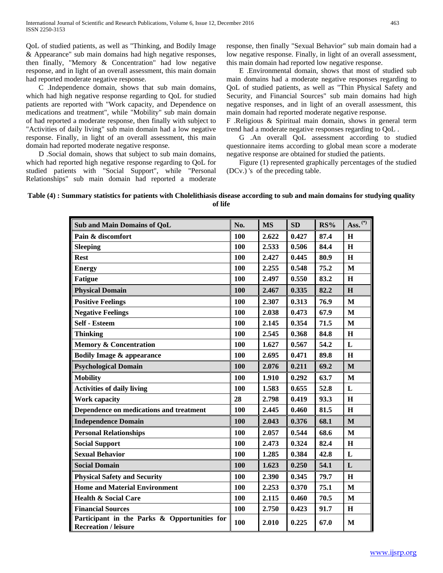QoL of studied patients, as well as "Thinking, and Bodily Image & Appearance" sub main domains had high negative responses, then finally, "Memory & Concentration" had low negative response, and in light of an overall assessment, this main domain had reported moderate negative response.

 C .Independence domain, shows that sub main domains, which had high negative response regarding to QoL for studied patients are reported with "Work capacity, and Dependence on medications and treatment", while "Mobility" sub main domain of had reported a moderate response, then finally with subject to "Activities of daily living" sub main domain had a low negative response. Finally, in light of an overall assessment, this main domain had reported moderate negative response.

 D .Social domain, shows that subject to sub main domains, which had reported high negative response regarding to QoL for studied patients with "Social Support", while "Personal Relationships" sub main domain had reported a moderate response, then finally "Sexual Behavior" sub main domain had a low negative response. Finally, in light of an overall assessment, this main domain had reported low negative response.

 E .Environmental domain, shows that most of studied sub main domains had a moderate negative responses regarding to QoL of studied patients, as well as "Thin Physical Safety and Security, and Financial Sources" sub main domains had high negative responses, and in light of an overall assessment, this main domain had reported moderate negative response.

F .Religious & Spiritual main domain, shows in general term trend had a moderate negative responses regarding to QoL .

 G .An overall QoL assessment according to studied questionnaire items according to global mean score a moderate negative response are obtained for studied the patients.

 Figure (1) represented graphically percentages of the studied (DCv.) 's of the preceding table.

## **Table (4) : Summary statistics for patients with Cholelithiasis disease according to sub and main domains for studying quality of life**

| Sub and Main Domains of QoL                                                 | No.        | <b>MS</b> | SD    | RS%  | Ass. $(*)$   |
|-----------------------------------------------------------------------------|------------|-----------|-------|------|--------------|
| Pain & discomfort                                                           | 100        | 2.622     | 0.427 | 87.4 | H            |
| <b>Sleeping</b>                                                             | 100        | 2.533     | 0.506 | 84.4 | H            |
| <b>Rest</b>                                                                 | 100        | 2.427     | 0.445 | 80.9 | H            |
| <b>Energy</b>                                                               | 100        | 2.255     | 0.548 | 75.2 | M            |
| <b>Fatigue</b>                                                              | 100        | 2.497     | 0.550 | 83.2 | H            |
| <b>Physical Domain</b>                                                      | 100        | 2.467     | 0.335 | 82.2 | H            |
| <b>Positive Feelings</b>                                                    | 100        | 2.307     | 0.313 | 76.9 | $\mathbf{M}$ |
| <b>Negative Feelings</b>                                                    | 100        | 2.038     | 0.473 | 67.9 | M            |
| <b>Self - Esteem</b>                                                        | 100        | 2.145     | 0.354 | 71.5 | M            |
| <b>Thinking</b>                                                             | 100        | 2.545     | 0.368 | 84.8 | H            |
| <b>Memory &amp; Concentration</b>                                           | 100        | 1.627     | 0.567 | 54.2 | L            |
| <b>Bodily Image &amp; appearance</b>                                        | 100        | 2.695     | 0.471 | 89.8 | $\mathbf H$  |
| <b>Psychological Domain</b>                                                 | 100        | 2.076     | 0.211 | 69.2 | $\mathbf{M}$ |
| <b>Mobility</b>                                                             | 100        | 1.910     | 0.292 | 63.7 | $\mathbf{M}$ |
| <b>Activities of daily living</b>                                           | <b>100</b> | 1.583     | 0.655 | 52.8 | $\mathbf L$  |
| <b>Work capacity</b>                                                        | 28         | 2.798     | 0.419 | 93.3 | H            |
| Dependence on medications and treatment                                     | 100        | 2.445     | 0.460 | 81.5 | $\bf H$      |
| <b>Independence Domain</b>                                                  | 100        | 2.043     | 0.376 | 68.1 | $\mathbf M$  |
| <b>Personal Relationships</b>                                               | 100        | 2.057     | 0.544 | 68.6 | $\mathbf{M}$ |
| <b>Social Support</b>                                                       | 100        | 2.473     | 0.324 | 82.4 | $\mathbf H$  |
| <b>Sexual Behavior</b>                                                      | 100        | 1.285     | 0.384 | 42.8 | ${\bf L}$    |
| <b>Social Domain</b>                                                        | 100        | 1.623     | 0.250 | 54.1 | ${\bf L}$    |
| <b>Physical Safety and Security</b>                                         | 100        | 2.390     | 0.345 | 79.7 | H            |
| <b>Home and Material Environment</b>                                        | 100        | 2.253     | 0.370 | 75.1 | $\mathbf{M}$ |
| <b>Health &amp; Social Care</b>                                             | 100        | 2.115     | 0.460 | 70.5 | $\mathbf M$  |
| <b>Financial Sources</b>                                                    | 100        | 2.750     | 0.423 | 91.7 | $\mathbf H$  |
| Participant in the Parks & Opportunities for<br><b>Recreation / leisure</b> | 100        | 2.010     | 0.225 | 67.0 | M            |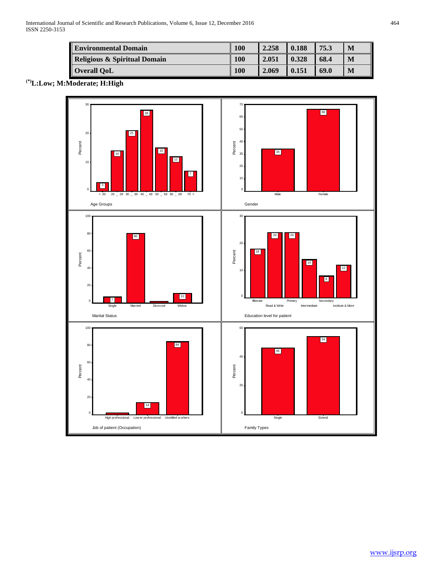| <b>Environmental Domain</b>             | 100 | 2.258 | 0.188 | 75.3 | M |
|-----------------------------------------|-----|-------|-------|------|---|
| <b>Religious &amp; Spiritual Domain</b> | 100 | 2.051 | 0.328 | 68.4 | M |
| <b>Overall QoL</b>                      | 100 | 2.069 | 0.151 | 69.0 | M |

**(\*)L:Low; M:Moderate; H:High**

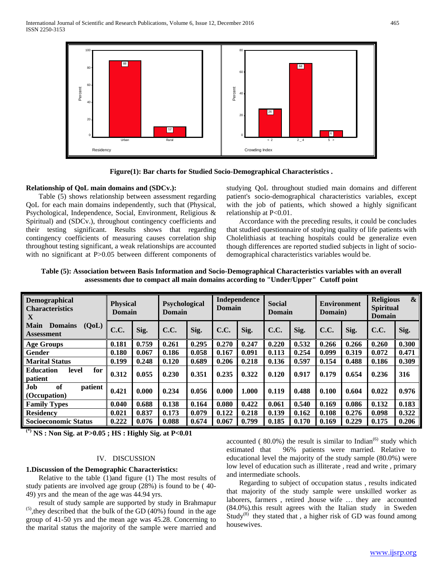

**Figure(1): Bar charts for Studied Socio-Demographical Characteristics .**

## **Relationship of QoL main domains and (SDCv.):**

 Table (5) shows relationship between assessment regarding QoL for each main domains independently, such that (Physical, Psychological, Independence, Social, Environment, Religious & Spiritual) and (SDCv.), throughout contingency coefficients and their testing significant. Results shows that regarding contingency coefficients of measuring causes correlation ship throughout testing significant, a weak relationships are accounted with no significant at P>0.05 between different components of studying QoL throughout studied main domains and different patient's socio-demographical characteristics variables, except with the job of patients, which showed a highly significant relationship at P<0.01.

 Accordance with the preceding results, it could be concludes that studied questionnaire of studying quality of life patients with Cholelithiasis at teaching hospitals could be generalize even though differences are reported studied subjects in light of sociodemographical characteristics variables would be.

| Table (5): Association between Basis Information and Socio-Demographical Characteristics variables with an overall |
|--------------------------------------------------------------------------------------------------------------------|
| assessments due to compact all main domains according to "Under/Upper" Cutoff point                                |

| Demographical<br><b>Characteristics</b><br>X         | <b>Physical</b><br><b>Domain</b> |       | Psychological<br>Domain |       | <b>Domain</b> | Independence | <b>Social</b><br><b>Domain</b> |       | <b>Environment</b><br>Domain) |       | <b>Religious</b><br>$\mathbf{\&}$<br><b>Spiritual</b><br><b>Domain</b> |       |
|------------------------------------------------------|----------------------------------|-------|-------------------------|-------|---------------|--------------|--------------------------------|-------|-------------------------------|-------|------------------------------------------------------------------------|-------|
| <b>Main</b><br>(QoL)<br><b>Domains</b><br>Assessment | C.C.                             | Sig.  | C.C.                    | Sig.  | <b>C.C.</b>   | Sig.         | <b>C.C.</b>                    | Sig.  | <b>C.C.</b>                   | Sig.  | <b>C.C.</b>                                                            | Sig.  |
| Age Groups                                           | 0.181                            | 0.759 | 0.261                   | 0.295 | 0.270         | 0.247        | 0.220                          | 0.532 | 0.266                         | 0.266 | 0.260                                                                  | 0.300 |
| Gender                                               | 0.180                            | 0.067 | 0.186                   | 0.058 | 0.167         | 0.091        | 0.113                          | 0.254 | 0.099                         | 0.319 | 0.072                                                                  | 0.471 |
| <b>Marital Status</b>                                | 0.199                            | 0.248 | 0.120                   | 0.689 | 0.206         | 0.218        | 0.136                          | 0.597 | 0.154                         | 0.488 | 0.186                                                                  | 0.309 |
| for<br><b>Education</b><br>level<br>patient          | 0.312                            | 0.055 | 0.230                   | 0.351 | 0.235         | 0.322        | 0.120                          | 0.917 | 0.179                         | 0.654 | 0.236                                                                  | 316   |
| <b>Job</b><br>of<br>patient<br>(Occupation)          | 0.421                            | 0.000 | 0.234                   | 0.056 | 0.000         | 1.000        | 0.119                          | 0.488 | 0.100                         | 0.604 | 0.022                                                                  | 0.976 |
| <b>Family Types</b>                                  | 0.040                            | 0.688 | 0.138                   | 0.164 | 0.080         | 0.422        | 0.061                          | 0.540 | 0.169                         | 0.086 | 0.132                                                                  | 0.183 |
| <b>Residency</b>                                     | 0.021                            | 0.837 | 0.173                   | 0.079 | 0.122         | 0.218        | 0.139                          | 0.162 | 0.108                         | 0.276 | 0.098                                                                  | 0.322 |
| <b>Socioeconomic Status</b>                          | 0.222                            | 0.076 | 0.088                   | 0.674 | 0.067         | 0.799        | 0.185                          | 0.170 | 0.169                         | 0.229 | 0.175                                                                  | 0.206 |

**(\*) NS : Non Sig. at P>0.05 ; HS : Highly Sig. at P<0.01**

## IV. DISCUSSION

#### **1.Discussion of the Demographic Characteristics:**

 Relative to the table (1)and figure (1) The most results of study patients are involved age group (28%) is found to be ( 40- 49) yrs and the mean of the age was 44.94 yrs.

 result of study sample are supported by study in Brahmapur  $<sup>(5)</sup>$ , they described that the bulk of the GD (40%) found in the age</sup> group of 41-50 yrs and the mean age was 45.28. Concerning to the marital status the majority of the sample were married and

accounted  $(80.0\%)$  the result is similar to Indian<sup>(6)</sup> study which estimated that 96% patients were married. Relative to educational level the majority of the study sample (80.0%) were low level of education such as illiterate , read and write , primary and intermediate schools.

 Regarding to subject of occupation status , results indicated that majority of the study sample were unskilled worker as laborers, farmers , retired ,house wife … they are accounted (84.0%).this result agrees with the Italian study in Sweden Study<sup>(8)</sup> they stated that, a higher risk of GD was found among housewives.